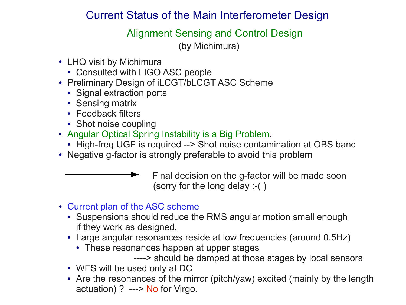### Current Status of the Main Interferometer Design

Alignment Sensing and Control Design

(by Michimura)

- LHO visit by Michimura
	- Consulted with LIGO ASC people
- Preliminary Design of iLCGT/bLCGT ASC Scheme
	- Signal extraction ports
	- Sensing matrix
	- Feedback filters
	- Shot noise coupling
- Angular Optical Spring Instability is a Big Problem.
	- High-freq UGF is required --> Shot noise contamination at OBS band
- Negative g-factor is strongly preferable to avoid this problem

 Final decision on the g-factor will be made soon (sorry for the long delay :-( )

- Current plan of the ASC scheme
	- Suspensions should reduce the RMS angular motion small enough if they work as designed.
	- Large angular resonances reside at low frequencies (around 0.5Hz)
		- These resonances happen at upper stages
			- ----> should be damped at those stages by local sensors
	- WFS will be used only at DC
	- Are the resonances of the mirror (pitch/yaw) excited (mainly by the length actuation) ? ---> No for Virgo.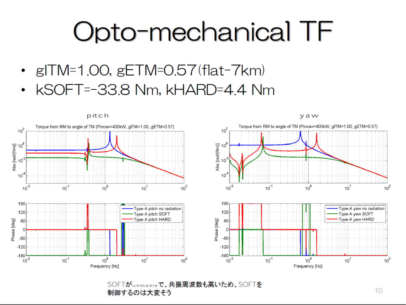# Opto-mechanical TF

- $\cdot$  gITM=1.00, gETM=0.57(flat-7km)
- kSOFT=-33.8 Nm, kHARD=4.4 Nm



SOFTがunstableで、共振周波数も高いため、SOFTを 制御するのは大変そう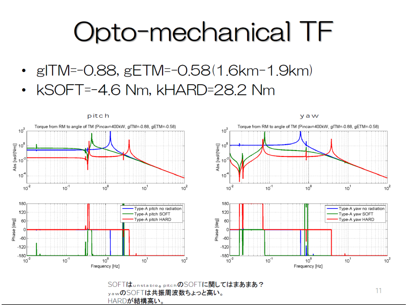# Opto-mechanical TF

- $g|TM=-0.88$ ,  $gETM=-0.58(1.6km-1.9km)$
- kSOFT=-4.6 Nm, kHARD=28.2 Nm



SOFTはunstable。pitchのSOFTに関してはまあまあ? yawのSOFTは共振周波数ちょっと高い。 HARDが結構高い。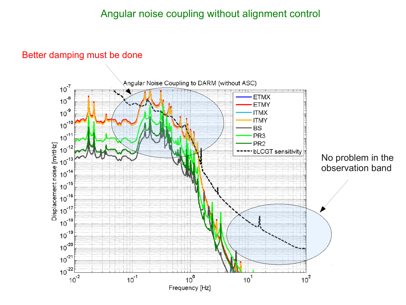#### Better damping must be done